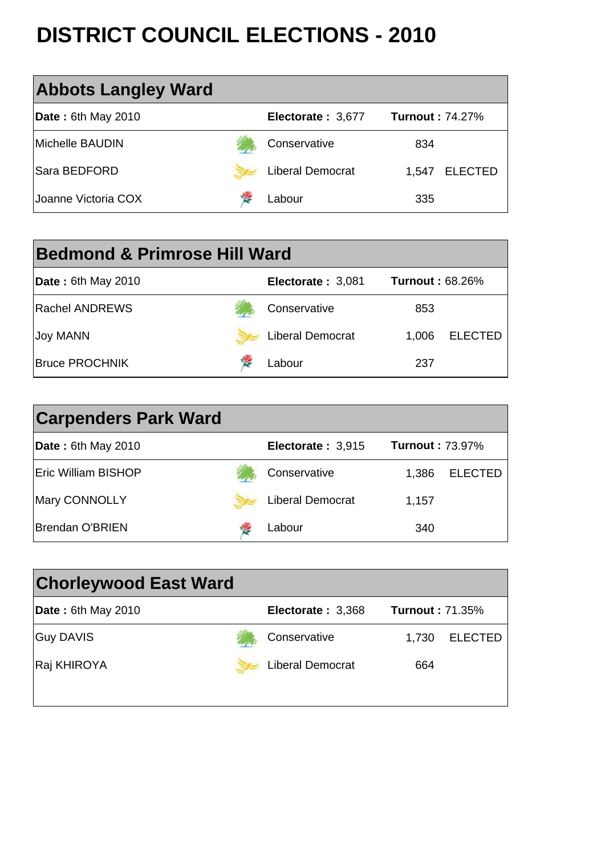| <b>Chorleywood East Ward</b>       |                     |                        |
|------------------------------------|---------------------|------------------------|
| $\vert$ <b>Date</b> : 6th May 2010 | Electorate: 3,368   | <b>Turnout: 71.35%</b> |
| <b>Guy DAVIS</b>                   | <b>Conservative</b> | 1.730 ELECTED          |







| <b>Carpenders Park Ward</b> |                         |                        |                |
|-----------------------------|-------------------------|------------------------|----------------|
| <b>Date: 6th May 2010</b>   | Electorate: 3,915       | <b>Turnout: 73.97%</b> |                |
| <b>Eric William BISHOP</b>  | Conservative            | 1,386                  | <b>ELECTED</b> |
| <b>Mary CONNOLLY</b>        | <b>Liberal Democrat</b> | 1,157                  |                |
| <b>Brendan O'BRIEN</b>      | Labour                  | 340                    |                |

| <b>Bedmond &amp; Primrose Hill Ward</b> |  |                         |                        |                |  |
|-----------------------------------------|--|-------------------------|------------------------|----------------|--|
| <b>Date: 6th May 2010</b>               |  | Electorate: 3,081       | <b>Turnout: 68.26%</b> |                |  |
| <b>Rachel ANDREWS</b>                   |  | Conservative            | 853                    |                |  |
| <b>Joy MANN</b>                         |  | <b>Liberal Democrat</b> | 1,006                  | <b>ELECTED</b> |  |
| <b>Bruce PROCHNIK</b>                   |  | Labour                  | 237                    |                |  |

| <b>Abbots Langley Ward</b> |                         |                         |
|----------------------------|-------------------------|-------------------------|
| <b>Date: 6th May 2010</b>  | Electorate: 3,677       | <b>Turnout: 74.27%</b>  |
| Michelle BAUDIN            | Conservative            | 834                     |
| <b>Sara BEDFORD</b>        | <b>Liberal Democrat</b> | <b>ELECTED</b><br>1,547 |
| Joanne Victoria COX        | Labour                  | 335                     |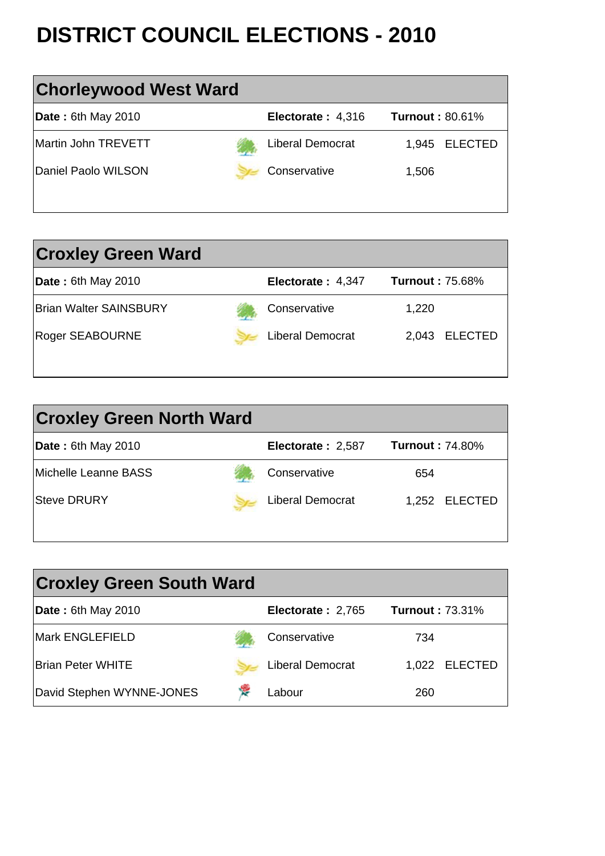1,022 ELECTED 260

**David Stephen WYNNE-JONES** New Mass Labour

| <b>Croxley Green South Ward</b> |                   |                        |  |  |  |  |
|---------------------------------|-------------------|------------------------|--|--|--|--|
| <b>Date: 6th May 2010</b>       | Electorate: 2,765 | <b>Turnout: 73.31%</b> |  |  |  |  |
| <b>Mark ENGLEFIELD</b>          | Conservative      | 734                    |  |  |  |  |

**Brian Peter WHITE Liberal Democrat** 

| <b>Croxley Green North Ward</b> |  |                         |                        |  |  |
|---------------------------------|--|-------------------------|------------------------|--|--|
| <b>Date: 6th May 2010</b>       |  | Electorate: 2,587       | <b>Turnout: 74.80%</b> |  |  |
| Michelle Leanne BASS            |  | Conservative            | 654                    |  |  |
| <b>Steve DRURY</b>              |  | <b>Liberal Democrat</b> | 1,252 ELECTED          |  |  |
|                                 |  |                         |                        |  |  |

| <b>Croxley Green Ward</b>     |                         |                         |
|-------------------------------|-------------------------|-------------------------|
| <b>Date: 6th May 2010</b>     | Electorate: 4,347       | <b>Turnout: 75.68%</b>  |
| <b>Brian Walter SAINSBURY</b> | Conservative            | 1,220                   |
| <b>Roger SEABOURNE</b>        | <b>Liberal Democrat</b> | <b>ELECTED</b><br>2,043 |
|                               |                         |                         |

| <b>Chorleywood West Ward</b> |                         |                        |  |  |  |  |
|------------------------------|-------------------------|------------------------|--|--|--|--|
| <b>Date: 6th May 2010</b>    | Electorate: 4,316       | <b>Turnout: 80.61%</b> |  |  |  |  |
| Martin John TREVETT          | <b>Liberal Democrat</b> | 1,945 ELECTED          |  |  |  |  |
| Daniel Paolo WILSON          | Conservative            | 1,506                  |  |  |  |  |
|                              |                         |                        |  |  |  |  |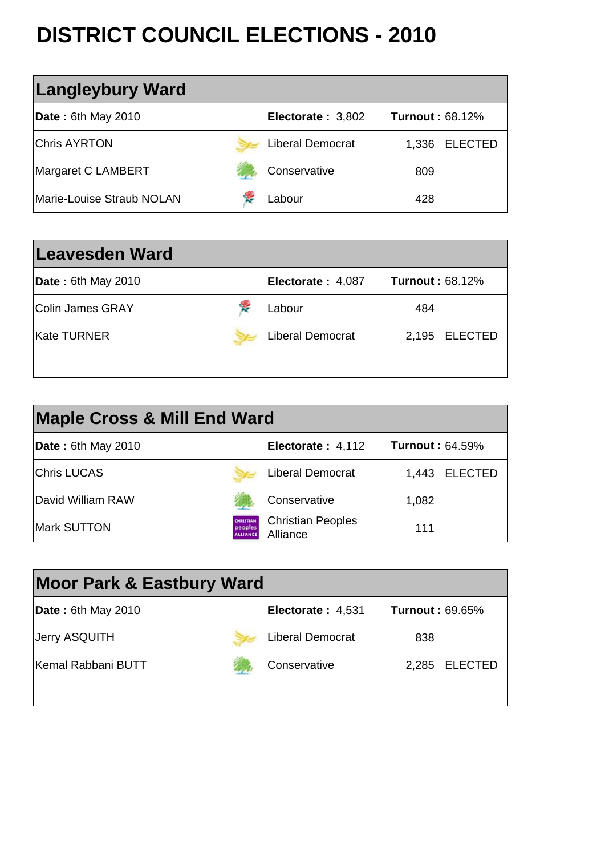



| <b>Moor Park &amp; Eastbury Ward</b> |                          |                        |  |  |  |  |
|--------------------------------------|--------------------------|------------------------|--|--|--|--|
| $\vert$ Date: 6th May 2010           | <b>Electorate: 4,531</b> | <b>Turnout: 69.65%</b> |  |  |  |  |
| <b>Jerry ASQUITH</b>                 | <b>Liberal Democrat</b>  | 838                    |  |  |  |  |

| <b>Maple Cross &amp; Mill End Ward</b> |                                         |                                             |                        |               |  |  |
|----------------------------------------|-----------------------------------------|---------------------------------------------|------------------------|---------------|--|--|
| <b>Date: 6th May 2010</b>              |                                         | Electorate: 4,112                           | <b>Turnout: 64.59%</b> |               |  |  |
| <b>Chris LUCAS</b>                     |                                         | <b>Liberal Democrat</b>                     |                        | 1,443 ELECTED |  |  |
| <b>IDavid William RAW</b>              |                                         | Conservative                                | 1,082                  |               |  |  |
| <b>Mark SUTTON</b>                     | CHRISTIAN<br>peoples<br><b>ALLIANCE</b> | <b>Christian Peoples</b><br><b>Alliance</b> | 111                    |               |  |  |

| <b>Leavesden Ward</b>     |                         |                        |
|---------------------------|-------------------------|------------------------|
| <b>Date: 6th May 2010</b> | Electorate: 4,087       | <b>Turnout: 68.12%</b> |
| <b>IColin James GRAY</b>  | Labour                  | 484                    |
| lKate TURNER              | <b>Liberal Democrat</b> | 2,195 ELECTED          |
|                           |                         |                        |

| <b>Langleybury Ward</b>          |                         |                        |                |
|----------------------------------|-------------------------|------------------------|----------------|
| <b>Date: 6th May 2010</b>        | Electorate: 3,802       | <b>Turnout: 68.12%</b> |                |
| <b>Chris AYRTON</b>              | <b>Liberal Democrat</b> | 1,336                  | <b>ELECTED</b> |
| Margaret C LAMBERT               | Conservative            | 809                    |                |
| <b>Marie-Louise Straub NOLAN</b> | Labour                  | 428                    |                |